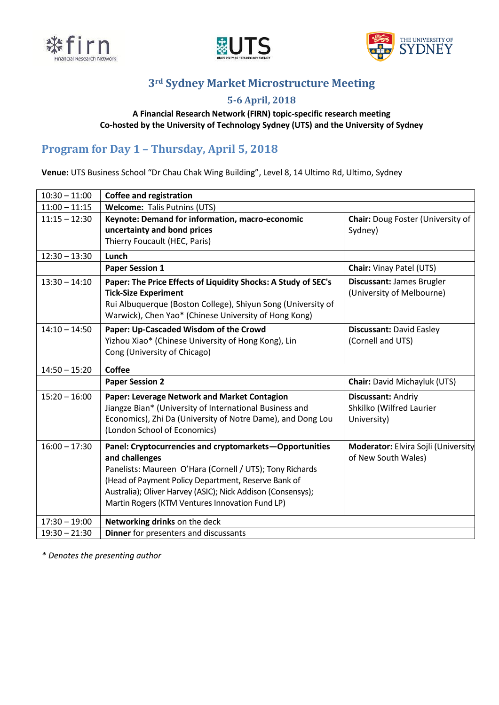





# **3rd Sydney Market Microstructure Meeting**

### **5-6 April, 2018**

#### **A Financial Research Network (FIRN) topic-specific research meeting Co-hosted by the University of Technology Sydney (UTS) and the University of Sydney**

# **Program for Day 1 – Thursday, April 5, 2018**

**Venue:** UTS Business School "Dr Chau Chak Wing Building", Level 8, 14 Ultimo Rd, Ultimo, Sydney

| $10:30 - 11:00$ | <b>Coffee and registration</b>                                                                                                                                                                                                                                                                                 |                                                               |  |
|-----------------|----------------------------------------------------------------------------------------------------------------------------------------------------------------------------------------------------------------------------------------------------------------------------------------------------------------|---------------------------------------------------------------|--|
| $11:00 - 11:15$ | Welcome: Talis Putnins (UTS)                                                                                                                                                                                                                                                                                   |                                                               |  |
| $11:15 - 12:30$ | Keynote: Demand for information, macro-economic<br>uncertainty and bond prices<br>Thierry Foucault (HEC, Paris)                                                                                                                                                                                                | <b>Chair:</b> Doug Foster (University of<br>Sydney)           |  |
| $12:30 - 13:30$ | Lunch                                                                                                                                                                                                                                                                                                          |                                                               |  |
|                 | <b>Paper Session 1</b>                                                                                                                                                                                                                                                                                         | <b>Chair: Vinay Patel (UTS)</b>                               |  |
| $13:30 - 14:10$ | Paper: The Price Effects of Liquidity Shocks: A Study of SEC's<br><b>Tick-Size Experiment</b><br>Rui Albuquerque (Boston College), Shiyun Song (University of<br>Warwick), Chen Yao* (Chinese University of Hong Kong)                                                                                         | Discussant: James Brugler<br>(University of Melbourne)        |  |
| $14:10 - 14:50$ | Paper: Up-Cascaded Wisdom of the Crowd<br>Yizhou Xiao* (Chinese University of Hong Kong), Lin<br>Cong (University of Chicago)                                                                                                                                                                                  | <b>Discussant: David Easley</b><br>(Cornell and UTS)          |  |
| $14:50 - 15:20$ | Coffee                                                                                                                                                                                                                                                                                                         |                                                               |  |
|                 | <b>Paper Session 2</b>                                                                                                                                                                                                                                                                                         | <b>Chair:</b> David Michayluk (UTS)                           |  |
| $15:20 - 16:00$ | Paper: Leverage Network and Market Contagion<br>Jiangze Bian* (University of International Business and<br>Economics), Zhi Da (University of Notre Dame), and Dong Lou<br>(London School of Economics)                                                                                                         | Discussant: Andriy<br>Shkilko (Wilfred Laurier<br>University) |  |
| $16:00 - 17:30$ | Panel: Cryptocurrencies and cryptomarkets-Opportunities<br>and challenges<br>Panelists: Maureen O'Hara (Cornell / UTS); Tony Richards<br>(Head of Payment Policy Department, Reserve Bank of<br>Australia); Oliver Harvey (ASIC); Nick Addison (Consensys);<br>Martin Rogers (KTM Ventures Innovation Fund LP) | Moderator: Elvira Sojli (University<br>of New South Wales)    |  |
| $17:30 - 19:00$ | Networking drinks on the deck                                                                                                                                                                                                                                                                                  |                                                               |  |
| $19:30 - 21:30$ | Dinner for presenters and discussants                                                                                                                                                                                                                                                                          |                                                               |  |

*\* Denotes the presenting author*